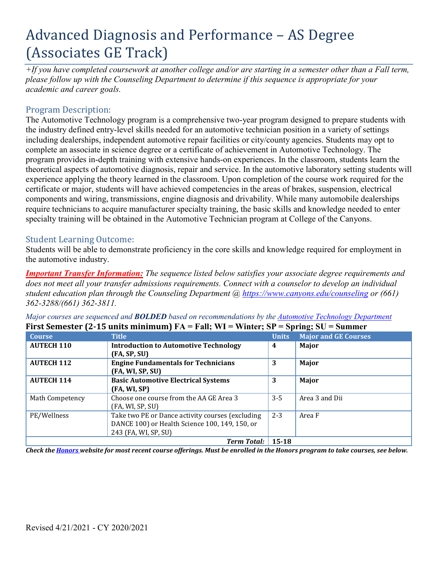# Advanced Diagnosis and Performance – AS Degree (Associates GE Track)

*+If you have completed coursework at another college and/or are starting in a semester other than a Fall term, please follow up with the Counseling Department to determine if this sequence is appropriate for your academic and career goals.* 

## Program Description:

The Automotive Technology program is a comprehensive two-year program designed to prepare students with the industry defined entry-level skills needed for an automotive technician position in a variety of settings including dealerships, independent automotive repair facilities or city/county agencies. Students may opt to complete an associate in science degree or a certificate of achievement in Automotive Technology. The program provides in-depth training with extensive hands-on experiences. In the classroom, students learn the theoretical aspects of automotive diagnosis, repair and service. In the automotive laboratory setting students will experience applying the theory learned in the classroom. Upon completion of the course work required for the certificate or major, students will have achieved competencies in the areas of brakes, suspension, electrical components and wiring, transmissions, engine diagnosis and drivability. While many automobile dealerships require technicians to acquire manufacturer specialty training, the basic skills and knowledge needed to enter specialty training will be obtained in the Automotive Technician program at College of the Canyons.

## Student Learning Outcome:

Students will be able to demonstrate proficiency in the core skills and knowledge required for employment in the automotive industry.

 *student education plan through the Counseling Department @ <https://www.canyons.edu/counseling> or (661) Important Transfer Information: The sequence listed below satisfies your associate degree requirements and does not meet all your transfer admissions requirements. Connect with a counselor to develop an individual 362-3288/(661) 362-3811.* 

 **First Semester (2-15 units minimum) FA = Fall; WI = Winter; SP = Spring; SU = Summer**  *Major courses are sequenced and BOLDED based on recommendations by the Automotive Technology Department* 

| <b>Course</b>     | <b>Title</b>                                                | <b>Units</b> | $\sim$<br><b>Major and GE Courses</b> |
|-------------------|-------------------------------------------------------------|--------------|---------------------------------------|
| <b>AUTECH 110</b> | <b>Introduction to Automotive Technology</b>                | 4            | Major                                 |
|                   | (FA, SP, SU)                                                |              |                                       |
| <b>AUTECH 112</b> | <b>Engine Fundamentals for Technicians</b>                  | 3            | Major                                 |
|                   | (FA, WI, SP, SU)                                            |              |                                       |
| <b>AUTECH 114</b> | <b>Basic Automotive Electrical Systems</b>                  | 3            | Major                                 |
|                   | (FA, WI, SP)                                                |              |                                       |
| Math Competency   | Choose one course from the AA GE Area 3<br>(FA, WI, SP, SU) | $3 - 5$      | Area 3 and Dii                        |
| PE/Wellness       | Take two PE or Dance activity courses (excluding            | $2 - 3$      | Area F                                |
|                   | DANCE 100) or Health Science 100, 149, 150, or              |              |                                       |
|                   | 243 (FA, WI, SP, SU)                                        |              |                                       |
|                   | <b>Term Total:</b>                                          | 15-18        |                                       |

*Check the Honors website for most recent course offerings. Must be enrolled in the Honors program to take courses, see below.*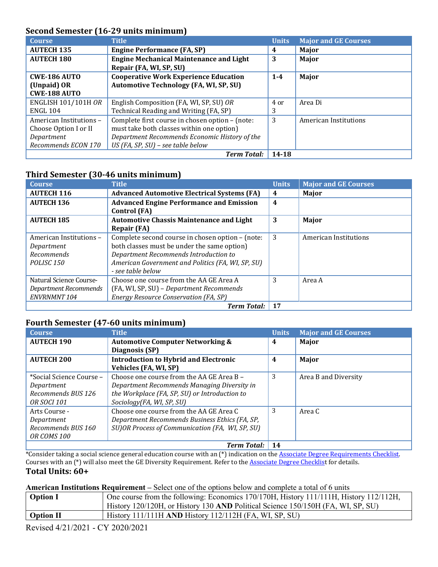## **Second Semester (16-29 units minimum)**

| <b>Course</b>              | <b>Title</b>                                                              | <b>Units</b> | <b>Major and GE Courses</b> |
|----------------------------|---------------------------------------------------------------------------|--------------|-----------------------------|
| <b>AUTECH 135</b>          | <b>Engine Performance (FA, SP)</b>                                        | 4            | Major                       |
| <b>AUTECH 180</b>          | <b>Engine Mechanical Maintenance and Light</b><br>Repair (FA, WI, SP, SU) | 3            | Major                       |
| <b>CWE-186 AUTO</b>        | <b>Cooperative Work Experience Education</b>                              | $1 - 4$      | Major                       |
| (Unpaid) OR                | <b>Automotive Technology (FA, WI, SP, SU)</b>                             |              |                             |
| <b>CWE-188 AUTO</b>        |                                                                           |              |                             |
| <b>ENGLISH 101/101H OR</b> | English Composition (FA, WI, SP, SU) OR                                   | 4 or         | Area Di                     |
| <b>ENGL 104</b>            | Technical Reading and Writing (FA, SP)                                    | 3            |                             |
| American Institutions -    | Complete first course in chosen option - (note:                           | 3            | American Institutions       |
| Choose Option I or II      | must take both classes within one option)                                 |              |                             |
| Department                 | Department Recommends Economic History of the                             |              |                             |
| Recommends ECON 170        | US (FA, SP, SU) - see table below                                         |              |                             |
|                            | <b>Term Total:</b>                                                        | 14-18        |                             |

#### **Third Semester (30-46 units minimum)**

| <b>Course</b>           | <b>Title</b>                                       | <b>Units</b>            | <b>Major and GE Courses</b> |
|-------------------------|----------------------------------------------------|-------------------------|-----------------------------|
| <b>AUTECH 116</b>       | <b>Advanced Automotive Electrical Systems (FA)</b> | 4                       | Major                       |
| <b>AUTECH 136</b>       | <b>Advanced Engine Performance and Emission</b>    | $\overline{\mathbf{4}}$ |                             |
|                         | Control (FA)                                       |                         |                             |
| <b>AUTECH 185</b>       | <b>Automotive Chassis Maintenance and Light</b>    | 3                       | Major                       |
|                         | <b>Repair (FA)</b>                                 |                         |                             |
| American Institutions - | Complete second course in chosen option – (note:   | 3                       | American Institutions       |
| Department              | both classes must be under the same option)        |                         |                             |
| Recommends              | Department Recommends Introduction to              |                         |                             |
| POLISC <sub>150</sub>   | American Government and Politics (FA, WI, SP, SU)  |                         |                             |
|                         | - see table below                                  |                         |                             |
| Natural Science Course- | Choose one course from the AA GE Area A            | 3                       | Area A                      |
| Department Recommends   | (FA, WI, SP, SU) - Department Recommends           |                         |                             |
| ENVRNMNT 104            | <b>Energy Resource Conservation (FA, SP)</b>       |                         |                             |
|                         | <b>Term Total:</b>                                 | 17                      |                             |

### **Fourth Semester (47-60 units minimum)**

| <b>Course</b>            | <b>Title</b>                                     | <b>Units</b> | <b>Major and GE Courses</b> |
|--------------------------|--------------------------------------------------|--------------|-----------------------------|
| <b>AUTECH 190</b>        | <b>Automotive Computer Networking &amp;</b>      | 4            | <b>Major</b>                |
|                          | Diagnosis (SP)                                   |              |                             |
| <b>AUTECH 200</b>        | <b>Introduction to Hybrid and Electronic</b>     | 4            | Major                       |
|                          | Vehicles (FA, WI, SP)                            |              |                             |
| *Social Science Course - | Choose one course from the AA GE Area B -        | 3            | Area B and Diversity        |
| Department               | Department Recommends Managing Diversity in      |              |                             |
| Recommends BUS 126       | the Workplace (FA, SP, SU) or Introduction to    |              |                             |
| <b>OR SOCI 101</b>       | Sociology (FA, WI, SP, SU)                       |              |                             |
| Arts Course -            | Choose one course from the AA GE Area C          | 3            | Area C                      |
| Department               | Department Recommends Business Ethics (FA, SP,   |              |                             |
| Recommends BUS 160       | SU) OR Process of Communication (FA, WI, SP, SU) |              |                             |
| OR COMS 100              |                                                  |              |                             |
|                          | <b>Term Total:</b>                               | 14           |                             |

 Courses with an (\*) will also meet the GE Diversity Requirement. Refer to the Associate Degree Checklist for details. \*Consider taking a social science general education course with an (\*) indication on the Associate Degree Requirements Checklist. **Total Units: 60+** 

#### **American Institutions Requirement –** Select one of the options below and complete a total of 6 units

| <b>Option I</b>  | One course from the following: Economics 170/170H, History 111/11H, History 112/112H, |
|------------------|---------------------------------------------------------------------------------------|
|                  | History 120/120H, or History 130 AND Political Science 150/150H (FA, WI, SP, SU)      |
| <b>Option II</b> | History 111/111H AND History 112/112H (FA, WI, SP, SU)                                |
| _                |                                                                                       |